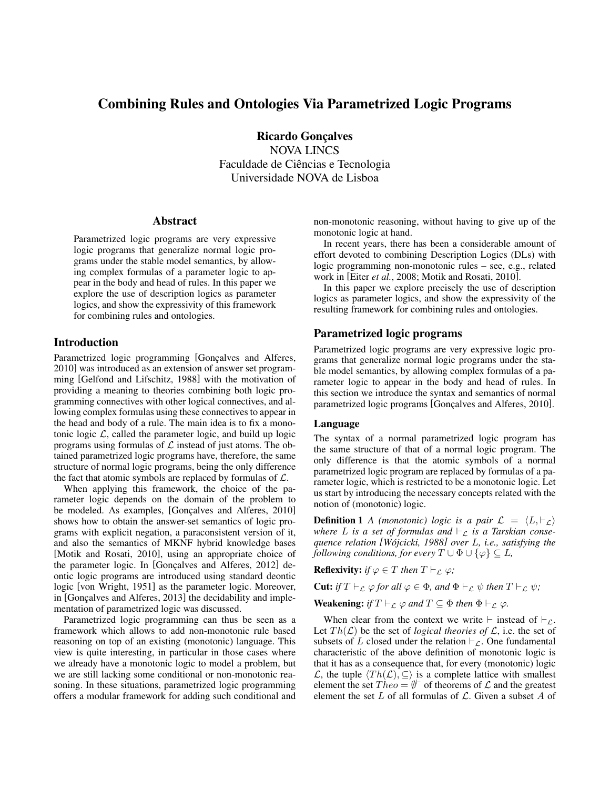# Combining Rules and Ontologies Via Parametrized Logic Programs

Ricardo Gonçalves NOVA LINCS Faculdade de Ciências e Tecnologia Universidade NOVA de Lisboa

#### Abstract

Parametrized logic programs are very expressive logic programs that generalize normal logic programs under the stable model semantics, by allowing complex formulas of a parameter logic to appear in the body and head of rules. In this paper we explore the use of description logics as parameter logics, and show the expressivity of this framework for combining rules and ontologies.

#### Introduction

Parametrized logic programming [Gonçalves and Alferes, 2010] was introduced as an extension of answer set programming [Gelfond and Lifschitz, 1988] with the motivation of providing a meaning to theories combining both logic programming connectives with other logical connectives, and allowing complex formulas using these connectives to appear in the head and body of a rule. The main idea is to fix a monotonic logic  $\mathcal{L}$ , called the parameter logic, and build up logic programs using formulas of  $\mathcal L$  instead of just atoms. The obtained parametrized logic programs have, therefore, the same structure of normal logic programs, being the only difference the fact that atomic symbols are replaced by formulas of  $\mathcal{L}$ .

When applying this framework, the choice of the parameter logic depends on the domain of the problem to be modeled. As examples, [Gonçalves and Alferes, 2010] shows how to obtain the answer-set semantics of logic programs with explicit negation, a paraconsistent version of it, and also the semantics of MKNF hybrid knowledge bases [Motik and Rosati, 2010], using an appropriate choice of the parameter logic. In [Gonçalves and Alferes, 2012] deontic logic programs are introduced using standard deontic logic [von Wright, 1951] as the parameter logic. Moreover, in [Gonçalves and Alferes, 2013] the decidability and implementation of parametrized logic was discussed.

Parametrized logic programming can thus be seen as a framework which allows to add non-monotonic rule based reasoning on top of an existing (monotonic) language. This view is quite interesting, in particular in those cases where we already have a monotonic logic to model a problem, but we are still lacking some conditional or non-monotonic reasoning. In these situations, parametrized logic programming offers a modular framework for adding such conditional and non-monotonic reasoning, without having to give up of the monotonic logic at hand.

In recent years, there has been a considerable amount of effort devoted to combining Description Logics (DLs) with logic programming non-monotonic rules – see, e.g., related work in [Eiter *et al.*, 2008; Motik and Rosati, 2010].

In this paper we explore precisely the use of description logics as parameter logics, and show the expressivity of the resulting framework for combining rules and ontologies.

## Parametrized logic programs

Parametrized logic programs are very expressive logic programs that generalize normal logic programs under the stable model semantics, by allowing complex formulas of a parameter logic to appear in the body and head of rules. In this section we introduce the syntax and semantics of normal parametrized logic programs [Gonçalves and Alferes, 2010].

#### Language

The syntax of a normal parametrized logic program has the same structure of that of a normal logic program. The only difference is that the atomic symbols of a normal parametrized logic program are replaced by formulas of a parameter logic, which is restricted to be a monotonic logic. Let us start by introducing the necessary concepts related with the notion of (monotonic) logic.

**Definition 1** *A* (monotonic) logic is a pair  $\mathcal{L} = \langle L, \vdash_{\mathcal{L}} \rangle$ where L is a set of formulas and  $\vdash_{\mathcal{L}}$  is a Tarskian conse*quence relation [Wojcicki, 1988 ´ ] over* L*, i.e., satisfying the following conditions, for every*  $T \cup \Phi \cup {\varphi} \subseteq L$ ,

**Reflexivity:** *if*  $\varphi \in T$  *then*  $T \vdash_{\mathcal{L}} \varphi$ *;* 

**Cut:** *if*  $T \vdash_{\mathcal{L}} \varphi$  *for all*  $\varphi \in \Phi$ *, and*  $\Phi \vdash_{\mathcal{L}} \psi$  *then*  $T \vdash_{\mathcal{L}} \psi$ *;* 

**Weakening:** *if*  $T \vdash_L \varphi$  *and*  $T \subseteq \Phi$  *then*  $\Phi \vdash_L \varphi$ *.* 

When clear from the context we write  $\vdash$  instead of  $\vdash_{\mathcal{L}}$ . Let  $Th(\mathcal{L})$  be the set of *logical theories of*  $\mathcal{L}$ , i.e. the set of subsets of L closed under the relation  $\vdash_{\mathcal{L}}$ . One fundamental characteristic of the above definition of monotonic logic is that it has as a consequence that, for every (monotonic) logic  $\mathcal{L}$ , the tuple  $\langle Th(\mathcal{L}), \subseteq \rangle$  is a complete lattice with smallest element the set  $Theo = \emptyset^{\vdash}$  of theorems of  $\mathcal L$  and the greatest element the set  $L$  of all formulas of  $\mathcal{L}$ . Given a subset  $A$  of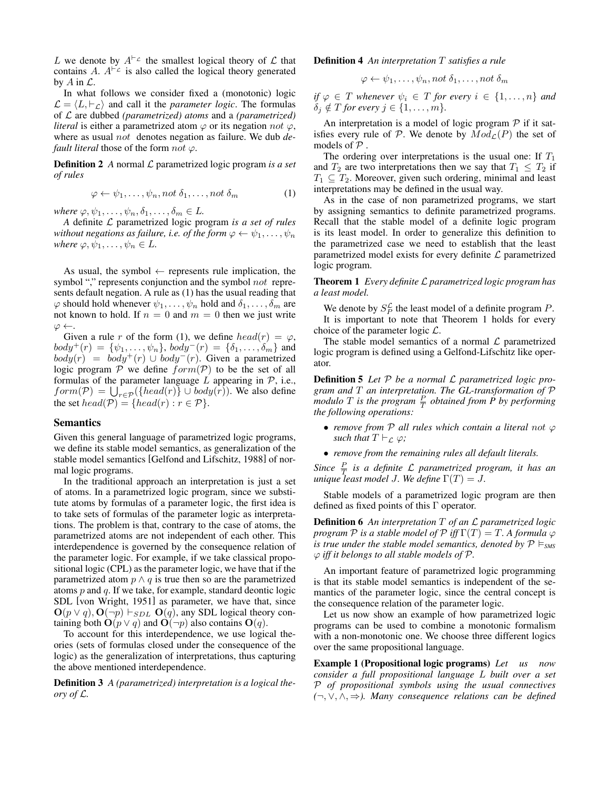L we denote by  $A^{\vdash_{\mathcal{L}}}$  the smallest logical theory of  $\mathcal L$  that contains A.  $A^{\vdash_{\mathcal{L}}}$  is also called the logical theory generated by  $A$  in  $\mathcal{L}$ .

In what follows we consider fixed a (monotonic) logic  $\mathcal{L} = \langle L, \vdash_{\mathcal{L}} \rangle$  and call it the *parameter logic*. The formulas of L are dubbed *(parametrized) atoms* and a *(parametrized) literal* is either a parametrized atom  $\varphi$  or its negation not  $\varphi$ , where as usual not denotes negation as failure. We dub *default literal* those of the form  $not \varphi$ .

Definition 2 *A* normal L parametrized logic program *is a set of rules*

$$
\varphi \leftarrow \psi_1, \dots, \psi_n, \text{not } \delta_1, \dots, \text{not } \delta_m \tag{1}
$$

*where*  $\varphi, \psi_1, \ldots, \psi_n, \delta_1, \ldots, \delta_m \in L$ .

*A* definite L parametrized logic program *is a set of rules without negations as failure, i.e. of the form*  $\varphi \leftarrow \psi_1, \dots, \psi_n$ *where*  $\varphi, \psi_1, \dots, \psi_n \in L$ .

As usual, the symbol  $\leftarrow$  represents rule implication, the symbol "," represents conjunction and the symbol not represents default negation. A rule as (1) has the usual reading that  $\varphi$  should hold whenever  $\psi_1, \ldots, \psi_n$  hold and  $\delta_1, \ldots, \delta_m$  are not known to hold. If  $n = 0$  and  $m = 0$  then we just write  $\varphi \leftarrow$ .

Given a rule r of the form (1), we define  $head(r) = \varphi$ ,  $body^+(r) = \{\psi_1, \ldots, \psi_n\}, body^-(r) = \{\delta_1, \ldots, \delta_m\}$  and  $body(r) = body^{+}(r) \cup body^{-}(r)$ . Given a parametrized logic program  $P$  we define  $form(P)$  to be the set of all formulas of the parameter language  $L$  appearing in  $P$ , i.e.,  $form(\mathcal{P}) = \bigcup_{r \in \mathcal{P}} (\{head(r)\} \cup body(r))$ . We also define the set  $head(\mathcal{P}) = \{head(r) : r \in \mathcal{P}\}.$ 

#### Semantics

Given this general language of parametrized logic programs, we define its stable model semantics, as generalization of the stable model semantics [Gelfond and Lifschitz, 1988] of normal logic programs.

In the traditional approach an interpretation is just a set of atoms. In a parametrized logic program, since we substitute atoms by formulas of a parameter logic, the first idea is to take sets of formulas of the parameter logic as interpretations. The problem is that, contrary to the case of atoms, the parametrized atoms are not independent of each other. This interdependence is governed by the consequence relation of the parameter logic. For example, if we take classical propositional logic (CPL) as the parameter logic, we have that if the parametrized atom  $p \wedge q$  is true then so are the parametrized atoms  $p$  and  $q$ . If we take, for example, standard deontic logic SDL [von Wright, 1951] as parameter, we have that, since  $\mathbf{O}(p \lor q), \mathbf{O}(\neg p) \vdash_{SDL} \mathbf{O}(q)$ , any SDL logical theory containing both  $O(p \vee q)$  and  $O(\neg p)$  also contains  $O(q)$ .

To account for this interdependence, we use logical theories (sets of formulas closed under the consequence of the logic) as the generalization of interpretations, thus capturing the above mentioned interdependence.

Definition 3 *A (parametrized) interpretation is a logical theory of* L*.*

#### Definition 4 *An interpretation* T *satisfies a rule*

$$
\varphi \leftarrow \psi_1, \ldots, \psi_n, not \delta_1, \ldots, not \delta_m
$$

*if*  $\varphi \in T$  *whenever*  $\psi_i \in T$  *for every*  $i \in \{1, ..., n\}$  *and*  $\delta_j \notin T$  *for every*  $j \in \{1, \ldots, m\}.$ 

An interpretation is a model of logic program  $P$  if it satisfies every rule of P. We denote by  $Mod<sub>L</sub>(P)$  the set of models of  $P$ .

The ordering over interpretations is the usual one: If  $T_1$ and  $T_2$  are two interpretations then we say that  $T_1 \n\t\leq T_2$  if  $T_1 \subseteq T_2$ . Moreover, given such ordering, minimal and least interpretations may be defined in the usual way.

As in the case of non parametrized programs, we start by assigning semantics to definite parametrized programs. Recall that the stable model of a definite logic program is its least model. In order to generalize this definition to the parametrized case we need to establish that the least parametrized model exists for every definite  $\mathcal L$  parametrized logic program.

Theorem 1 *Every definite* L *parametrized logic program has a least model.*

We denote by  $S_P^{\mathcal{L}}$  the least model of a definite program P. It is important to note that Theorem 1 holds for every choice of the parameter logic  $\mathcal{L}$ .

The stable model semantics of a normal  $\mathcal L$  parametrized logic program is defined using a Gelfond-Lifschitz like operator.

Definition 5 *Let* P *be a normal* L *parametrized logic program and* T *an interpretation. The GL-transformation of* P *modulo*  $T$  *is the program*  $\frac{P}{T}$  *obtained from*  $\tilde{P}$  *by performing the following operations:*

- *remove from* P *all rules which contain a literal* not ϕ *such that*  $T \vdash_{\mathcal{L}} \varphi$ *;*
- *remove from the remaining rules all default literals.*

Since  $\frac{P}{T}$  is a definite L parametrized program, it has an *unique least model J. We define*  $\Gamma(T) = J$ .

Stable models of a parametrized logic program are then defined as fixed points of this Γ operator.

Definition 6 *An interpretation* T *of an* L *parametrized logic program*  $P$  *is a stable model of*  $P$  *iff*  $\Gamma(T) = T$ . A formula  $\varphi$ *is true under the stable model semantics, denoted by*  $P \models_{\text{SMS}} P$ ϕ *iff it belongs to all stable models of* P*.*

An important feature of parametrized logic programming is that its stable model semantics is independent of the semantics of the parameter logic, since the central concept is the consequence relation of the parameter logic.

Let us now show an example of how parametrized logic programs can be used to combine a monotonic formalism with a non-monotonic one. We choose three different logics over the same propositional language.

Example 1 (Propositional logic programs) *Let us now consider a full propositional language* L *built over a set* P *of propositional symbols using the usual connectives (*¬, ∨, ∧, ⇒*). Many consequence relations can be defined*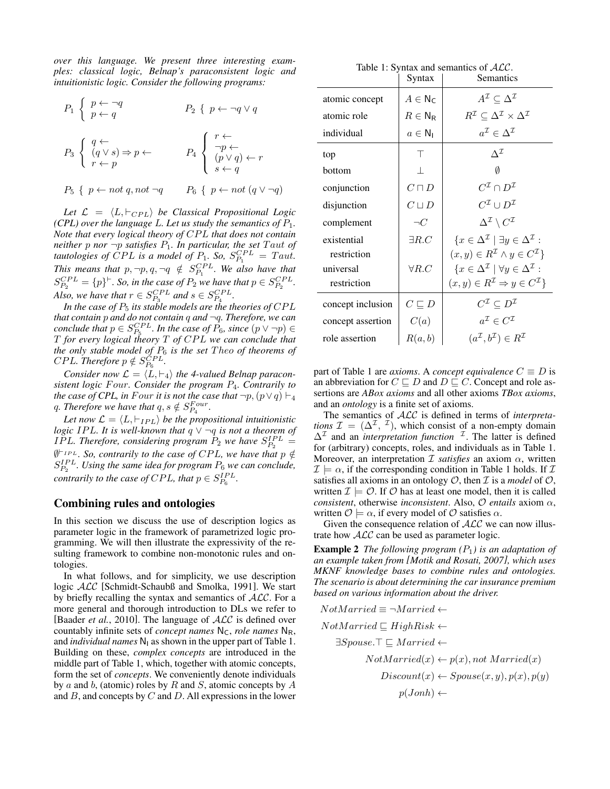*over this language. We present three interesting examples: classical logic, Belnap's paraconsistent logic and intuitionistic logic. Consider the following programs:*

$$
P_1 \left\{ \begin{array}{ll} p \leftarrow \neg q \\ p \leftarrow q \end{array} \right. \qquad P_2 \left\{ \begin{array}{ll} p \leftarrow \neg q \vee q \\ \neg p \leftarrow \end{array} \right. \right. \right. \newline
$$
\n
$$
P_3 \left\{ \begin{array}{ll} q \leftarrow \\ (q \vee s) \Rightarrow p \leftarrow \\ r \leftarrow p \end{array} \right. \right. \qquad P_4 \left\{ \begin{array}{ll} r \leftarrow \\ \neg p \leftarrow \\ (p \vee q) \leftarrow r \\ s \leftarrow q \end{array} \right. \right. \right. \right. \newline
$$
\n
$$
P_5 \left\{ \begin{array}{ll} p \leftarrow not \ q, not \neg q \end{array} \right. \right. \qquad P_6 \left\{ \begin{array}{ll} p \leftarrow not \ (q \vee \neg q) \end{array} \right. \right.
$$

Let  $\mathcal{L} = \langle L, \vdash_{CPL} \rangle$  *be Classical Propositional Logic (CPL)* over the language L. Let us study the semantics of  $P_1$ . *Note that every logical theory of CPL that does not contain neither*  $p$  *nor*  $\neg p$  *satisfies*  $P_1$ *. In particular, the set Taut of tautologies of CPL is a model of*  $P_1$ *. So,*  $S_{P_1}^{CPL} = Taut$ *. This means that*  $p, \neg p, q, \neg q \notin S_{P_1}^{CPL}$ *. We also have that*  $S_{P_2}^{CPL} = \{p\}^{\vdash}$ . So, in the case of  $P_2$  we have that  $p \in S_{P_2}^{CPL}$ . *Also, we have that*  $r \in S_{P_3}^{CPL}$  and  $s \in S_{P_4}^{CPL}$ .

*In the case of*  $P_5$  *its stable models are the theories of CPL that contain* p *and do not contain* q *and* ¬q*. Therefore, we can conclude that*  $p \in S_{P_5}^{CPL}$ *. In the case of*  $P_6$ *, since*  $(p \vee \neg p) \in$ T *for every logical theory* T *of* CP L *we can conclude that the only stable model of* P<sup>6</sup> *is the set* T heo *of theorems of CPL. Therefore*  $p \notin S_{P_6}^{CPL}$ .

*Consider now*  $\mathcal{L} = \langle L, \vdash_4 \rangle$  *the 4-valued Belnap paraconsistent logic* F our*. Consider the program* P4*. Contrarily to the case of CPL, in Four it is not the case that*  $\neg p, (p \lor q) \vdash_4$ q. Therefore we have that  $q, s \notin S_{P_4}^{Four}$ .

Let now  $\mathcal{L} = \langle L, \vdash_{IPL} \rangle$  be the propositional intuitionistic *logic IPL. It is well-known that*  $q \vee \neg q$  *is not a theorem of* IPL. Therefore, considering program  $P_2$  we have  $S_{P_2}^{IPL}$  =  $\emptyset^{\vdash_{IPL}}$ . So, contrarily to the case of CPL, we have that  $p \notin$  $S_{P_2}^{IPL}$ . Using the same idea for program  $P_6$  we can conclude, *contrarily to the case of CPL, that*  $p \in S_{P_6}^{IPL}$ .

## Combining rules and ontologies

In this section we discuss the use of description logics as parameter logic in the framework of parametrized logic programming. We will then illustrate the expressivity of the resulting framework to combine non-monotonic rules and ontologies.

In what follows, and for simplicity, we use description logic ALC [Schmidt-Schaubß and Smolka, 1991]. We start by briefly recalling the syntax and semantics of ALC. For a more general and thorough introduction to DLs we refer to [Baader *et al.*, 2010]. The language of  $ALC$  is defined over countably infinite sets of *concept names*  $N_c$ , *role names*  $N_R$ , and *individual names*  $N_1$  as shown in the upper part of Table 1. Building on these, *complex concepts* are introduced in the middle part of Table 1, which, together with atomic concepts, form the set of *concepts*. We conveniently denote individuals by a and b, (atomic) roles by R and S, atomic concepts by  $A$ and  $B$ , and concepts by  $C$  and  $D$ . All expressions in the lower

Table 1: Syntax and semantics of  $ALC$ .

|                   | Syntax                        | Semantics                                                                    |
|-------------------|-------------------------------|------------------------------------------------------------------------------|
| atomic concept    | $A \in N_{\mathsf{C}}$        | $A^{\mathcal{I}} \subset \Delta^{\mathcal{I}}$                               |
| atomic role       | $R\in\mathsf{N}_{\mathsf{R}}$ | $R^{\mathcal{I}} \subseteq \Delta^{\mathcal{I}} \times \Delta^{\mathcal{I}}$ |
| individual        | $a \in \mathsf{N}_1$          | $a^{\mathcal{I}} \in \Delta^{\mathcal{I}}$                                   |
| top               | Τ                             | $\Lambda^{\mathcal{I}}$                                                      |
| bottom            | $\perp$                       | Ø                                                                            |
| conjunction       | $C\sqcap D$                   | $C^{\mathcal{I}}\cap D^{\mathcal{I}}$                                        |
| disjunction       | $C \sqcup D$                  | $C^{\mathcal{I}}\cup D^{\mathcal{I}}$                                        |
| complement        | $\neg C$                      | $\Delta^{\mathcal{I}} \setminus C^{\mathcal{I}}$                             |
| existential       | $\exists R.C$                 | $\{x \in \Delta^{\mathcal{I}} \mid \exists y \in \Delta^{\mathcal{I}} :$     |
| restriction       |                               | $(x, y) \in R^{\mathcal{I}} \wedge y \in C^{\mathcal{I}}$                    |
| universal         | $\forall R.C$                 | $\{x \in \Delta^{\mathcal{I}} \mid \forall y \in \Delta^{\mathcal{I}}\}$     |
| restriction       |                               | $(x, y) \in R^{\mathcal{I}} \Rightarrow y \in C^{\mathcal{I}}$               |
| concept inclusion | $C \sqsubseteq D$             | $C^{\mathcal{I}} \subseteq D^{\mathcal{I}}$                                  |
| concept assertion | C(a)                          | $a^{\mathcal{I}} \in C^{\mathcal{I}}$                                        |
| role assertion    | R(a,b)                        | $(a^{\mathcal{I}}, b^{\mathcal{I}}) \in R^{\mathcal{I}}$                     |

part of Table 1 are *axioms*. A *concept equivalence*  $C \equiv D$  is an abbreviation for  $C \sqsubseteq D$  and  $D \sqsubseteq C$ . Concept and role assertions are *ABox axioms* and all other axioms *TBox axioms*, and an *ontology* is a finite set of axioms.

The semantics of ALC is defined in terms of *interpretations*  $\mathcal{I} = (\Delta^{\mathcal{I}}, \mathcal{I})$ , which consist of a non-empty domain  $\Delta^{\mathcal{I}}$  and an *interpretation function* <sup>I</sup>. The latter is defined for (arbitrary) concepts, roles, and individuals as in Table 1. Moreover, an interpretation  $I$  *satisfies* an axiom  $\alpha$ , written  $\mathcal{I} \models \alpha$ , if the corresponding condition in Table 1 holds. If  $\mathcal{I}$ satisfies all axioms in an ontology  $O$ , then  $I$  is a *model* of  $O$ , written  $\mathcal{I} \models \mathcal{O}$ . If  $\mathcal{O}$  has at least one model, then it is called *consistent*, otherwise *inconsistent*. Also, O *entails* axiom α, written  $\mathcal{O} \models \alpha$ , if every model of  $\mathcal O$  satisfies  $\alpha$ .

Given the consequence relation of  $ALC$  we can now illustrate how ALC can be used as parameter logic.

Example 2 *The following program (*P1*) is an adaptation of an example taken from [Motik and Rosati, 2007], which uses MKNF knowledge bases to combine rules and ontologies. The scenario is about determining the car insurance premium based on various information about the driver.*

NotMarried 
$$
\equiv \neg Married \leftarrow
$$
  
\nNotMarried  $\sqsubseteq$  HighRisk  $\leftarrow$   
\n $\exists Spouse. \top \sqsubseteq Married \leftarrow$   
\nNotMarried(x)  $\leftarrow p(x), not Married(x)$   
\n $Discount(x) \leftarrow Spouse(x, y), p(x), p(y)$   
\n $p(John) \leftarrow$